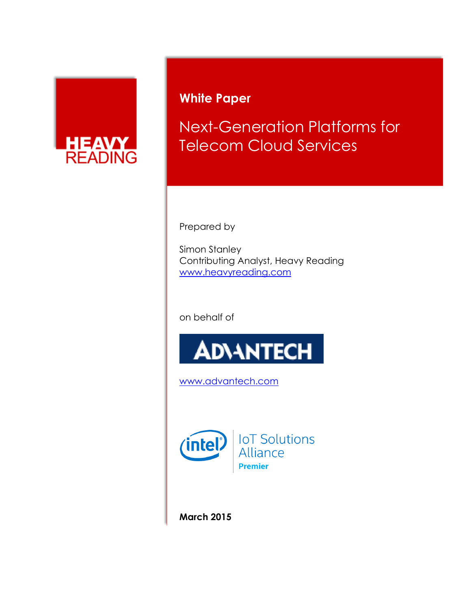

# **White Paper**

Next-Generation Platforms for Telecom Cloud Services

Prepared by

Simon Stanley Contributing Analyst, Heavy Reading [www.heavyreading.com](http://www.heavyreading.com/)

on behalf of



[www.advantech.com](http://www.advantech.com/)



**March 2015**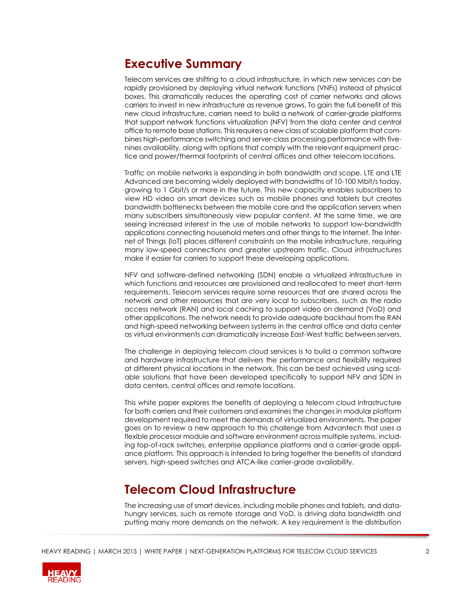### **Executive Summary**

Telecom services are shifting to a cloud infrastructure, in which new services can be rapidly provisioned by deploying virtual network functions (VNFs) instead of physical boxes. This dramatically reduces the operating cost of carrier networks and allows carriers to invest in new infrastructure as revenue grows. To gain the full benefit of this new cloud infrastructure, carriers need to build a network of carrier-grade platforms that support network functions virtualization (NFV) from the data center and central office to remote base stations. This requires a new class of scalable platform that combines high-performance switching and server-class processing performance with fivenines availability, along with options that comply with the relevant equipment practice and power/thermal footprints of central offices and other telecom locations.

Traffic on mobile networks is expanding in both bandwidth and scope. LTE and LTE Advanced are becoming widely deployed with bandwidths of 10-100 Mbit/s today, growing to 1 Gbit/s or more in the future. This new capacity enables subscribers to view HD video on smart devices such as mobile phones and tablets but creates bandwidth bottlenecks between the mobile core and the application servers when many subscribers simultaneously view popular content. At the same time, we are seeing increased interest in the use of mobile networks to support low-bandwidth applications connecting household meters and other things to the Internet. The Internet of Things (IoT) places different constraints on the mobile infrastructure, requiring many low-speed connections and greater upstream traffic. Cloud infrastructures make it easier for carriers to support these developing applications.

NFV and software-defined networking (SDN) enable a virtualized infrastructure in which functions and resources are provisioned and reallocated to meet short-term requirements. Telecom services require some resources that are shared across the network and other resources that are very local to subscribers, such as the radio access network (RAN) and local caching to support video on demand (VoD) and other applications. The network needs to provide adequate backhaul from the RAN and high-speed networking between systems in the central office and data center as virtual environments can dramatically increase East-West traffic between servers.

The challenge in deploying telecom cloud services is to build a common software and hardware infrastructure that delivers the performance and flexibility required at different physical locations in the network. This can be best achieved using scalable solutions that have been developed specifically to support NFV and SDN in data centers, central offices and remote locations.

This white paper explores the benefits of deploying a telecom cloud infrastructure for both carriers and their customers and examines the changes in modular platform development required to meet the demands of virtualized environments. The paper goes on to review a new approach to this challenge from Advantech that uses a flexible processor module and software environment across multiple systems, including top-of-rack switches, enterprise appliance platforms and a carrier-grade appliance platform. This approach is intended to bring together the benefits of standard servers, high-speed switches and ATCA-like carrier-grade availability.

## **Telecom Cloud Infrastructure**

The increasing use of smart devices, including mobile phones and tablets, and datahungry services, such as remote storage and VoD, is driving data bandwidth and putting many more demands on the network. A key requirement is the distribution

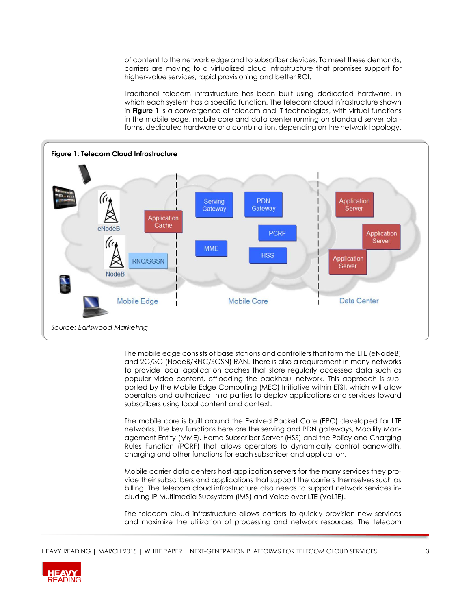of content to the network edge and to subscriber devices. To meet these demands, carriers are moving to a virtualized cloud infrastructure that promises support for higher-value services, rapid provisioning and better ROI.

Traditional telecom infrastructure has been built using dedicated hardware, in which each system has a specific function. The telecom cloud infrastructure shown in **Figure 1** is a convergence of telecom and IT technologies, with virtual functions in the mobile edge, mobile core and data center running on standard server platforms, dedicated hardware or a combination, depending on the network topology.



The mobile edge consists of base stations and controllers that form the LTE (eNodeB) and 2G/3G (NodeB/RNC/SGSN) RAN. There is also a requirement in many networks to provide local application caches that store regularly accessed data such as popular video content, offloading the backhaul network. This approach is supported by the Mobile Edge Computing (MEC) Initiative within ETSI, which will allow operators and authorized third parties to deploy applications and services toward subscribers using local content and context.

The mobile core is built around the Evolved Packet Core (EPC) developed for LTE networks. The key functions here are the serving and PDN gateways, Mobility Management Entity (MME), Home Subscriber Server (HSS) and the Policy and Charging Rules Function (PCRF) that allows operators to dynamically control bandwidth, charging and other functions for each subscriber and application.

Mobile carrier data centers host application servers for the many services they provide their subscribers and applications that support the carriers themselves such as billing. The telecom cloud infrastructure also needs to support network services including IP Multimedia Subsystem (IMS) and Voice over LTE (VoLTE).

The telecom cloud infrastructure allows carriers to quickly provision new services and maximize the utilization of processing and network resources. The telecom

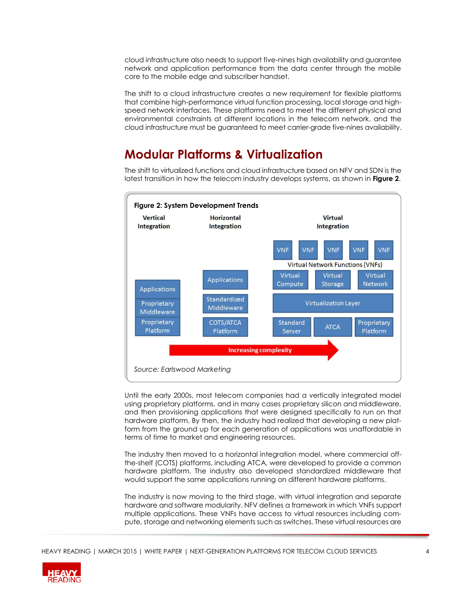cloud infrastructure also needs to support five-nines high availability and guarantee network and application performance from the data center through the mobile core to the mobile edge and subscriber handset.

The shift to a cloud infrastructure creates a new requirement for flexible platforms that combine high-performance virtual function processing, local storage and highspeed network interfaces. These platforms need to meet the different physical and environmental constraints at different locations in the telecom network, and the cloud infrastructure must be guaranteed to meet carrier-grade five-nines availability.

#### **Modular Platforms & Virtualization**

The shift to virtualized functions and cloud infrastructure based on NFV and SDN is the latest transition in how the telecom industry develops systems, as shown in **Figure 2**.



Until the early 2000s, most telecom companies had a vertically integrated model using proprietary platforms, and in many cases proprietary silicon and middleware, and then provisioning applications that were designed specifically to run on that hardware platform. By then, the industry had realized that developing a new platform from the ground up for each generation of applications was unaffordable in terms of time to market and engineering resources.

The industry then moved to a horizontal integration model, where commercial offthe-shelf (COTS) platforms, including ATCA, were developed to provide a common hardware platform. The industry also developed standardized middleware that would support the same applications running on different hardware platforms.

The industry is now moving to the third stage, with virtual integration and separate hardware and software modularity. NFV defines a framework in which VNFs support multiple applications. These VNFs have access to virtual resources including compute, storage and networking elements such as switches. These virtual resources are

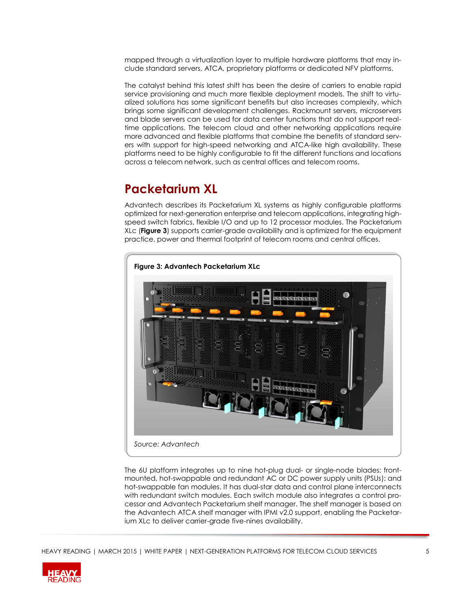mapped through a virtualization layer to multiple hardware platforms that may include standard servers, ATCA, proprietary platforms or dedicated NFV platforms.

The catalyst behind this latest shift has been the desire of carriers to enable rapid service provisioning and much more flexible deployment models. The shift to virtualized solutions has some significant benefits but also increases complexity, which brings some significant development challenges. Rackmount servers, microservers and blade servers can be used for data center functions that do not support realtime applications. The telecom cloud and other networking applications require more advanced and flexible platforms that combine the benefits of standard servers with support for high-speed networking and ATCA-like high availability. These platforms need to be highly configurable to fit the different functions and locations across a telecom network, such as central offices and telecom rooms.

## **Packetarium XL**

Advantech describes its Packetarium XL systems as highly configurable platforms optimized for next-generation enterprise and telecom applications, integrating highspeed switch fabrics, flexible I/O and up to 12 processor modules. The Packetarium XLc (**Figure 3**) supports carrier-grade availability and is optimized for the equipment practice, power and thermal footprint of telecom rooms and central offices.



The 6U platform integrates up to nine hot-plug dual- or single-node blades; frontmounted, hot-swappable and redundant AC or DC power supply units (PSUs); and hot-swappable fan modules. It has dual-star data and control plane interconnects with redundant switch modules. Each switch module also integrates a control processor and Advantech Packetarium shelf manager. The shelf manager is based on the Advantech ATCA shelf manager with IPMI v2.0 support, enabling the Packetarium XLc to deliver carrier-grade five-nines availability.

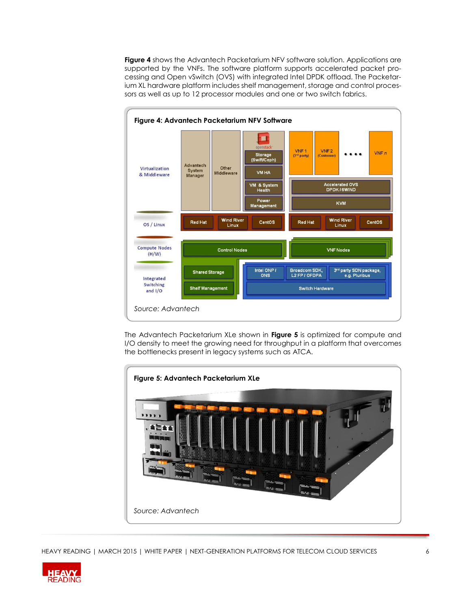**Figure 4** shows the Advantech Packetarium NFV software solution. Applications are supported by the VNFs. The software platform supports accelerated packet processing and Open vSwitch (OVS) with integrated Intel DPDK offload. The Packetarium XL hardware platform includes shelf management, storage and control processors as well as up to 12 processor modules and one or two switch fabrics.



The Advantech Packetarium XLe shown in **Figure 5** is optimized for compute and I/O density to meet the growing need for throughput in a platform that overcomes the bottlenecks present in legacy systems such as ATCA.



HEAVY READING | MARCH 2015 | WHITE PAPER | NEXT-GENERATION PLATFORMS FOR TELECOM CLOUD SERVICES 66

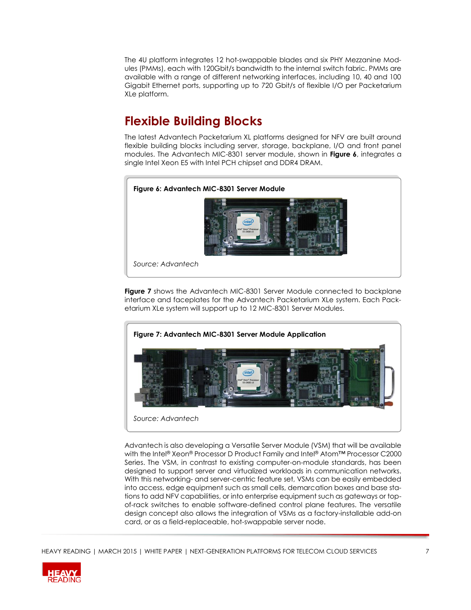The 4U platform integrates 12 hot-swappable blades and six PHY Mezzanine Modules (PMMs), each with 120Gbit/s bandwidth to the internal switch fabric. PMMs are available with a range of different networking interfaces, including 10, 40 and 100 Gigabit Ethernet ports, supporting up to 720 Gbit/s of flexible I/O per Packetarium XLe platform.

# **Flexible Building Blocks**

The latest Advantech Packetarium XL platforms designed for NFV are built around flexible building blocks including server, storage, backplane, I/O and front panel modules. The Advantech MIC-8301 server module, shown in **Figure 6**, integrates a single Intel Xeon E5 with Intel PCH chipset and DDR4 DRAM.



**Figure 7** shows the Advantech MIC-8301 Server Module connected to backplane interface and faceplates for the Advantech Packetarium XLe system. Each Packetarium XLe system will support up to 12 MIC-8301 Server Modules.



Advantech is also developing a Versatile Server Module (VSM) that will be available with the Intel® Xeon® Processor D Product Family and Intel® Atom™ Processor C2000 Series. The VSM, in contrast to existing computer-on-module standards, has been designed to support server and virtualized workloads in communication networks. With this networking- and server-centric feature set, VSMs can be easily embedded into access, edge equipment such as small cells, demarcation boxes and base stations to add NFV capabilities, or into enterprise equipment such as gateways or topof-rack switches to enable software-defined control plane features. The versatile design concept also allows the integration of VSMs as a factory-installable add-on card, or as a field-replaceable, hot-swappable server node.